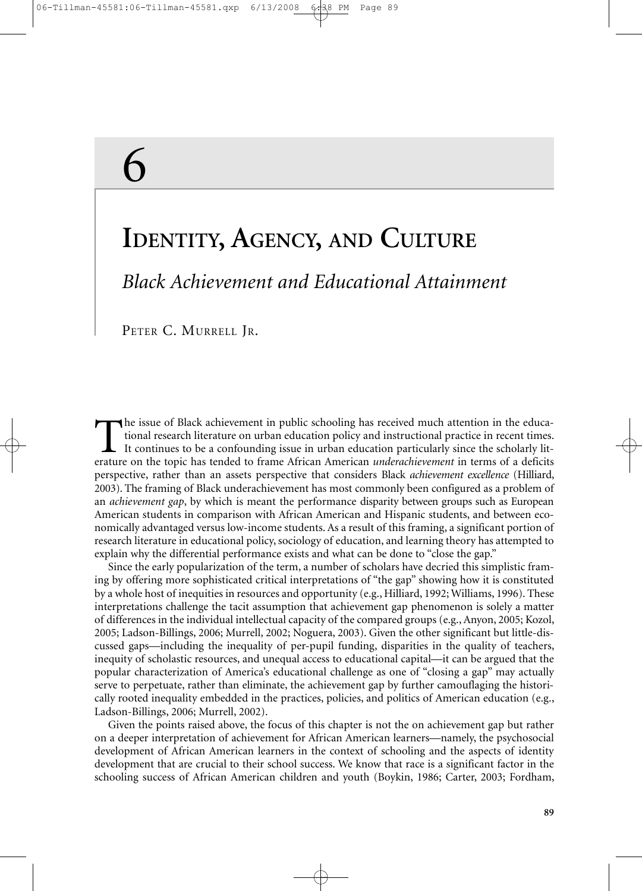# 6

# **IDENTITY, AGENCY, AND CULTURE**

*Black Achievement and Educational Attainment*

PETER C. MURRELL JR.

The issue of Black achievement in public schooling has received much attention in the educational research literature on urban education policy and instructional practice in recent times. It continues to be a confounding issue in urban education particularly since the scholarly literature on the topic has tended to frame African American *underachievement* in terms of a deficits perspective, rather than an assets perspective that considers Black *achievement excellence* (Hilliard, 2003). The framing of Black underachievement has most commonly been configured as a problem of an *achievement gap*, by which is meant the performance disparity between groups such as European American students in comparison with African American and Hispanic students, and between economically advantaged versus low-income students. As a result of this framing, a significant portion of research literature in educational policy, sociology of education, and learning theory has attempted to explain why the differential performance exists and what can be done to "close the gap."

Since the early popularization of the term, a number of scholars have decried this simplistic framing by offering more sophisticated critical interpretations of "the gap" showing how it is constituted by a whole host of inequities in resources and opportunity (e.g., Hilliard, 1992; Williams, 1996). These interpretations challenge the tacit assumption that achievement gap phenomenon is solely a matter of differences in the individual intellectual capacity of the compared groups (e.g., Anyon, 2005; Kozol, 2005; Ladson-Billings, 2006; Murrell, 2002; Noguera, 2003). Given the other significant but little-discussed gaps—including the inequality of per-pupil funding, disparities in the quality of teachers, inequity of scholastic resources, and unequal access to educational capital—it can be argued that the popular characterization of America's educational challenge as one of "closing a gap" may actually serve to perpetuate, rather than eliminate, the achievement gap by further camouflaging the historically rooted inequality embedded in the practices, policies, and politics of American education (e.g., Ladson-Billings, 2006; Murrell, 2002).

Given the points raised above, the focus of this chapter is not the on achievement gap but rather on a deeper interpretation of achievement for African American learners—namely, the psychosocial development of African American learners in the context of schooling and the aspects of identity development that are crucial to their school success. We know that race is a significant factor in the schooling success of African American children and youth (Boykin, 1986; Carter, 2003; Fordham,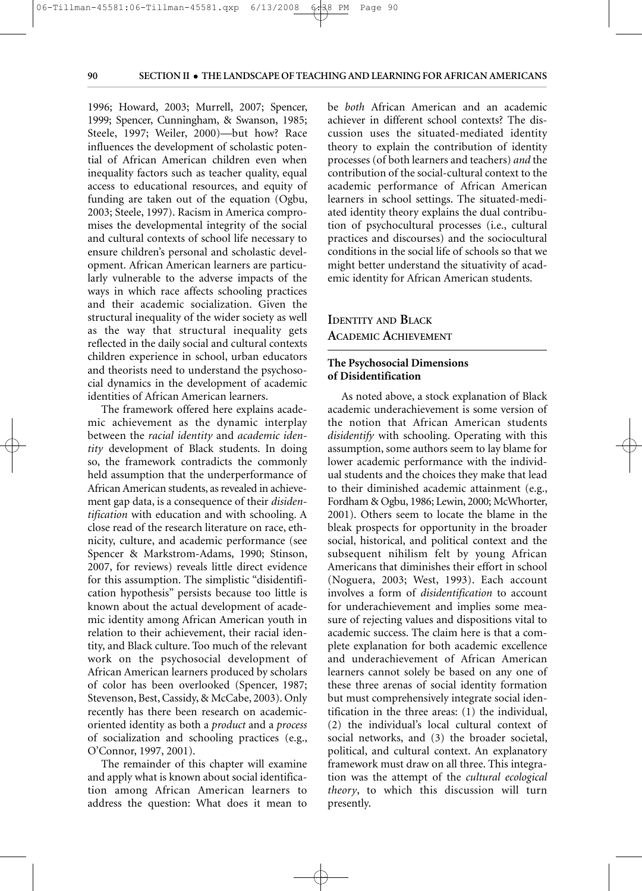1996; Howard, 2003; Murrell, 2007; Spencer, 1999; Spencer, Cunningham, & Swanson, 1985; Steele, 1997; Weiler, 2000)—but how? Race influences the development of scholastic potential of African American children even when inequality factors such as teacher quality, equal access to educational resources, and equity of funding are taken out of the equation (Ogbu, 2003; Steele, 1997). Racism in America compromises the developmental integrity of the social and cultural contexts of school life necessary to ensure children's personal and scholastic development. African American learners are particularly vulnerable to the adverse impacts of the ways in which race affects schooling practices and their academic socialization. Given the structural inequality of the wider society as well as the way that structural inequality gets reflected in the daily social and cultural contexts children experience in school, urban educators and theorists need to understand the psychosocial dynamics in the development of academic identities of African American learners.

The framework offered here explains academic achievement as the dynamic interplay between the *racial identity* and *academic identity* development of Black students. In doing so, the framework contradicts the commonly held assumption that the underperformance of African American students, as revealed in achievement gap data, is a consequence of their *disidentification* with education and with schooling. A close read of the research literature on race, ethnicity, culture, and academic performance (see Spencer & Markstrom-Adams, 1990; Stinson, 2007, for reviews) reveals little direct evidence for this assumption. The simplistic "disidentification hypothesis" persists because too little is known about the actual development of academic identity among African American youth in relation to their achievement, their racial identity, and Black culture. Too much of the relevant work on the psychosocial development of African American learners produced by scholars of color has been overlooked (Spencer, 1987; Stevenson, Best, Cassidy, & McCabe, 2003). Only recently has there been research on academicoriented identity as both a *product* and a *process* of socialization and schooling practices (e.g., O'Connor, 1997, 2001).

The remainder of this chapter will examine and apply what is known about social identification among African American learners to address the question: What does it mean to be *both* African American and an academic achiever in different school contexts? The discussion uses the situated-mediated identity theory to explain the contribution of identity processes (of both learners and teachers) *and* the contribution of the social-cultural context to the academic performance of African American learners in school settings. The situated-mediated identity theory explains the dual contribution of psychocultural processes (i.e., cultural practices and discourses) and the sociocultural conditions in the social life of schools so that we might better understand the situativity of academic identity for African American students.

# **IDENTITY AND BLACK ACADEMIC ACHIEVEMENT**

# **The Psychosocial Dimensions of Disidentification**

As noted above, a stock explanation of Black academic underachievement is some version of the notion that African American students *disidentify* with schooling. Operating with this assumption, some authors seem to lay blame for lower academic performance with the individual students and the choices they make that lead to their diminished academic attainment (e.g., Fordham & Ogbu, 1986; Lewin, 2000; McWhorter, 2001). Others seem to locate the blame in the bleak prospects for opportunity in the broader social, historical, and political context and the subsequent nihilism felt by young African Americans that diminishes their effort in school (Noguera, 2003; West, 1993). Each account involves a form of *disidentification* to account for underachievement and implies some measure of rejecting values and dispositions vital to academic success. The claim here is that a complete explanation for both academic excellence and underachievement of African American learners cannot solely be based on any one of these three arenas of social identity formation but must comprehensively integrate social identification in the three areas: (1) the individual, (2) the individual's local cultural context of social networks, and (3) the broader societal, political, and cultural context. An explanatory framework must draw on all three. This integration was the attempt of the *cultural ecological theory*, to which this discussion will turn presently.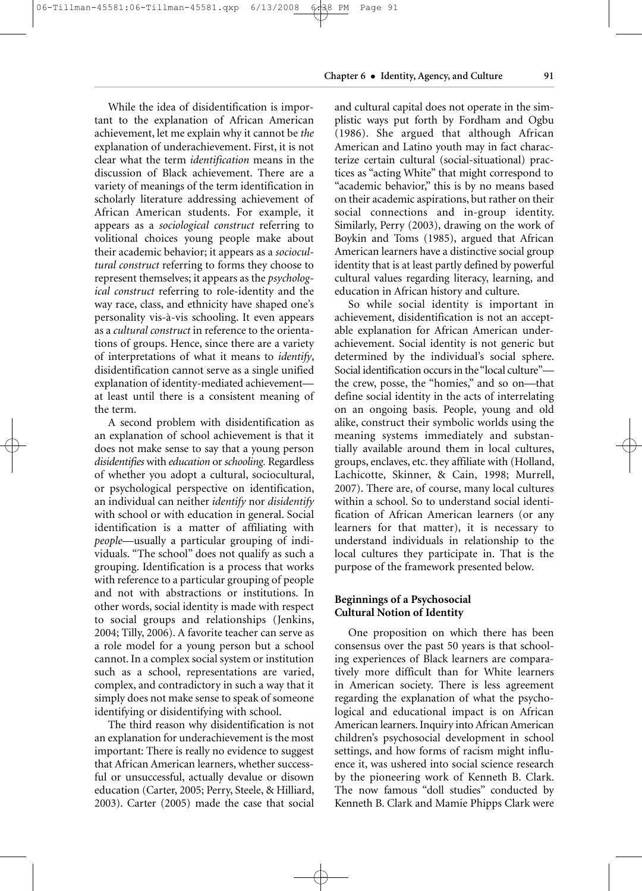# 06-Tillman-45581:06-Tillman-45581.qxp 6/13/2008 6:38 PM Page 91

**Chapter 6** • **Identity, Agency, and Culture 91**

While the idea of disidentification is important to the explanation of African American achievement, let me explain why it cannot be *the* explanation of underachievement. First, it is not clear what the term *identification* means in the discussion of Black achievement. There are a variety of meanings of the term identification in scholarly literature addressing achievement of African American students. For example, it appears as a *sociological construct* referring to volitional choices young people make about their academic behavior; it appears as a *sociocultural construct* referring to forms they choose to represent themselves; it appears as the *psychological construct* referring to role-identity and the way race, class, and ethnicity have shaped one's personality vis-à-vis schooling. It even appears as a *cultural construct* in reference to the orientations of groups. Hence, since there are a variety of interpretations of what it means to *identify*, disidentification cannot serve as a single unified explanation of identity-mediated achievement at least until there is a consistent meaning of the term.

A second problem with disidentification as an explanation of school achievement is that it does not make sense to say that a young person *disidentifies* with *education* or *schooling.* Regardless of whether you adopt a cultural, sociocultural, or psychological perspective on identification, an individual can neither *identify* nor *disidentify* with school or with education in general. Social identification is a matter of affiliating with *people*—usually a particular grouping of individuals. "The school" does not qualify as such a grouping. Identification is a process that works with reference to a particular grouping of people and not with abstractions or institutions. In other words, social identity is made with respect to social groups and relationships (Jenkins, 2004; Tilly, 2006). A favorite teacher can serve as a role model for a young person but a school cannot. In a complex social system or institution such as a school, representations are varied, complex, and contradictory in such a way that it simply does not make sense to speak of someone identifying or disidentifying with school.

The third reason why disidentification is not an explanation for underachievement is the most important: There is really no evidence to suggest that African American learners, whether successful or unsuccessful, actually devalue or disown education (Carter, 2005; Perry, Steele, & Hilliard, 2003). Carter (2005) made the case that social and cultural capital does not operate in the simplistic ways put forth by Fordham and Ogbu (1986). She argued that although African American and Latino youth may in fact characterize certain cultural (social-situational) practices as "acting White" that might correspond to "academic behavior," this is by no means based on their academic aspirations, but rather on their social connections and in-group identity. Similarly, Perry (2003), drawing on the work of Boykin and Toms (1985), argued that African American learners have a distinctive social group identity that is at least partly defined by powerful cultural values regarding literacy, learning, and education in African history and culture.

So while social identity is important in achievement, disidentification is not an acceptable explanation for African American underachievement. Social identity is not generic but determined by the individual's social sphere. Social identification occurs in the "local culture" the crew, posse, the "homies," and so on—that define social identity in the acts of interrelating on an ongoing basis. People, young and old alike, construct their symbolic worlds using the meaning systems immediately and substantially available around them in local cultures, groups, enclaves, etc. they affiliate with (Holland, Lachicotte, Skinner, & Cain, 1998; Murrell, 2007). There are, of course, many local cultures within a school. So to understand social identification of African American learners (or any learners for that matter), it is necessary to understand individuals in relationship to the local cultures they participate in. That is the purpose of the framework presented below.

# **Beginnings of a Psychosocial Cultural Notion of Identity**

One proposition on which there has been consensus over the past 50 years is that schooling experiences of Black learners are comparatively more difficult than for White learners in American society. There is less agreement regarding the explanation of what the psychological and educational impact is on African American learners. Inquiry into African American children's psychosocial development in school settings, and how forms of racism might influence it, was ushered into social science research by the pioneering work of Kenneth B. Clark. The now famous "doll studies" conducted by Kenneth B. Clark and Mamie Phipps Clark were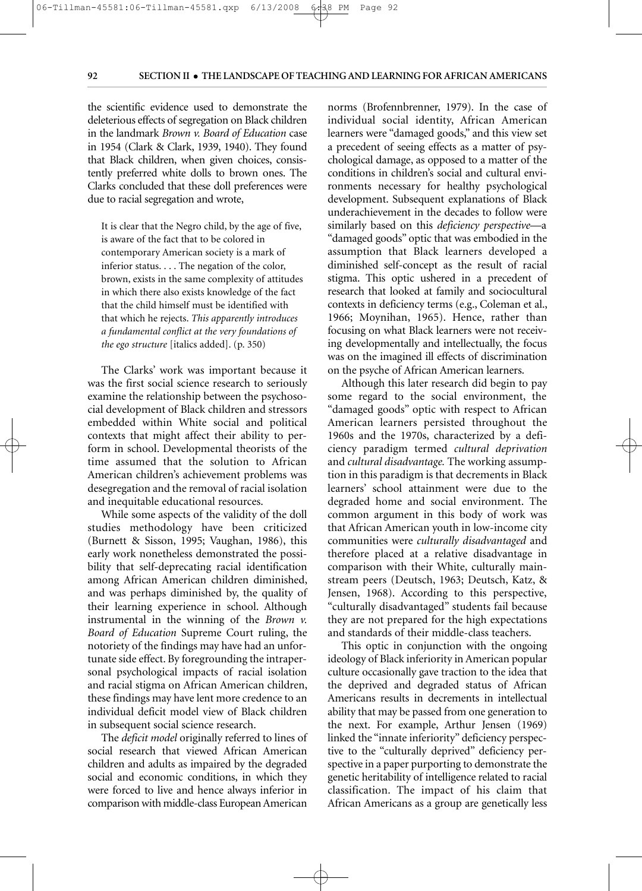#### 06-Tillman-45581:06-Tillman-45581.qxp 6/13/2008 6:38 PM Page PM

# **92 SECTION II** • **THE LANDSCAPE OF TEACHING AND LEARNING FOR AFRICAN AMERICANS**

the scientific evidence used to demonstrate the deleterious effects of segregation on Black children in the landmark *Brown v. Board of Education* case in 1954 (Clark & Clark, 1939, 1940). They found that Black children, when given choices, consistently preferred white dolls to brown ones. The Clarks concluded that these doll preferences were due to racial segregation and wrote,

It is clear that the Negro child, by the age of five, is aware of the fact that to be colored in contemporary American society is a mark of inferior status. . . . The negation of the color, brown, exists in the same complexity of attitudes in which there also exists knowledge of the fact that the child himself must be identified with that which he rejects. *This apparently introduces a fundamental conflict at the very foundations of the ego structure* [italics added]. (p. 350)

The Clarks' work was important because it was the first social science research to seriously examine the relationship between the psychosocial development of Black children and stressors embedded within White social and political contexts that might affect their ability to perform in school. Developmental theorists of the time assumed that the solution to African American children's achievement problems was desegregation and the removal of racial isolation and inequitable educational resources.

While some aspects of the validity of the doll studies methodology have been criticized (Burnett & Sisson, 1995; Vaughan, 1986), this early work nonetheless demonstrated the possibility that self-deprecating racial identification among African American children diminished, and was perhaps diminished by, the quality of their learning experience in school. Although instrumental in the winning of the *Brown v. Board of Education* Supreme Court ruling, the notoriety of the findings may have had an unfortunate side effect. By foregrounding the intrapersonal psychological impacts of racial isolation and racial stigma on African American children, these findings may have lent more credence to an individual deficit model view of Black children in subsequent social science research.

The *deficit model* originally referred to lines of social research that viewed African American children and adults as impaired by the degraded social and economic conditions, in which they were forced to live and hence always inferior in comparison with middle-class European American norms (Brofennbrenner, 1979). In the case of individual social identity, African American learners were "damaged goods," and this view set a precedent of seeing effects as a matter of psychological damage, as opposed to a matter of the conditions in children's social and cultural environments necessary for healthy psychological development. Subsequent explanations of Black underachievement in the decades to follow were similarly based on this *deficiency perspective*—a "damaged goods" optic that was embodied in the assumption that Black learners developed a diminished self-concept as the result of racial stigma. This optic ushered in a precedent of research that looked at family and sociocultural contexts in deficiency terms (e.g., Coleman et al., 1966; Moynihan, 1965). Hence, rather than focusing on what Black learners were not receiving developmentally and intellectually, the focus was on the imagined ill effects of discrimination on the psyche of African American learners.

Although this later research did begin to pay some regard to the social environment, the "damaged goods" optic with respect to African American learners persisted throughout the 1960s and the 1970s, characterized by a deficiency paradigm termed *cultural deprivation* and *cultural disadvantage.* The working assumption in this paradigm is that decrements in Black learners' school attainment were due to the degraded home and social environment. The common argument in this body of work was that African American youth in low-income city communities were *culturally disadvantaged* and therefore placed at a relative disadvantage in comparison with their White, culturally mainstream peers (Deutsch, 1963; Deutsch, Katz, & Jensen, 1968). According to this perspective, "culturally disadvantaged" students fail because they are not prepared for the high expectations and standards of their middle-class teachers.

This optic in conjunction with the ongoing ideology of Black inferiority in American popular culture occasionally gave traction to the idea that the deprived and degraded status of African Americans results in decrements in intellectual ability that may be passed from one generation to the next. For example, Arthur Jensen (1969) linked the "innate inferiority" deficiency perspective to the "culturally deprived" deficiency perspective in a paper purporting to demonstrate the genetic heritability of intelligence related to racial classification. The impact of his claim that African Americans as a group are genetically less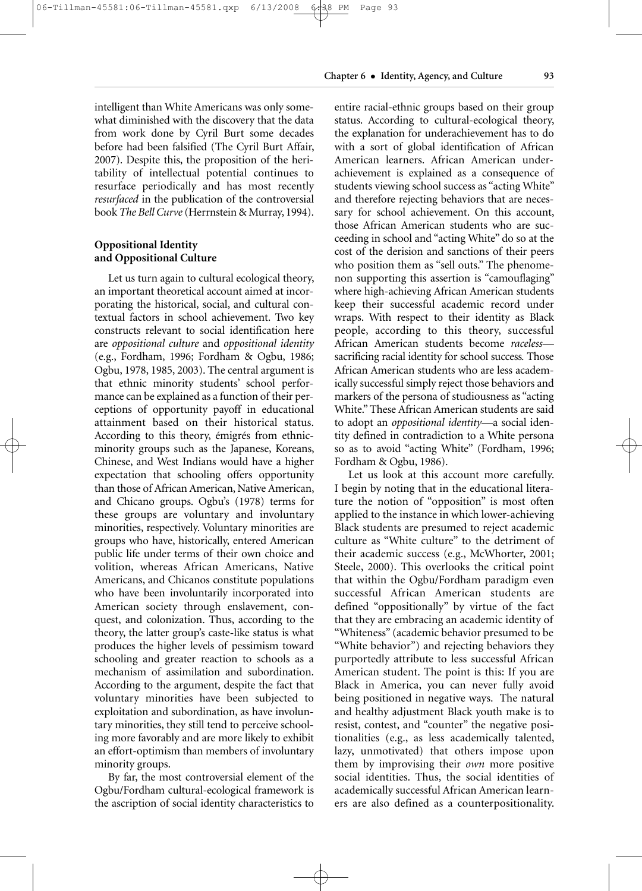intelligent than White Americans was only somewhat diminished with the discovery that the data from work done by Cyril Burt some decades before had been falsified (The Cyril Burt Affair, 2007). Despite this, the proposition of the heritability of intellectual potential continues to resurface periodically and has most recently *resurfaced* in the publication of the controversial book *The Bell Curve* (Herrnstein & Murray, 1994).

# **Oppositional Identity and Oppositional Culture**

Let us turn again to cultural ecological theory, an important theoretical account aimed at incorporating the historical, social, and cultural contextual factors in school achievement. Two key constructs relevant to social identification here are *oppositional culture* and *oppositional identity* (e.g., Fordham, 1996; Fordham & Ogbu, 1986; Ogbu, 1978, 1985, 2003). The central argument is that ethnic minority students' school performance can be explained as a function of their perceptions of opportunity payoff in educational attainment based on their historical status. According to this theory, émigrés from ethnicminority groups such as the Japanese, Koreans, Chinese, and West Indians would have a higher expectation that schooling offers opportunity than those of African American, Native American, and Chicano groups. Ogbu's (1978) terms for these groups are voluntary and involuntary minorities, respectively. Voluntary minorities are groups who have, historically, entered American public life under terms of their own choice and volition, whereas African Americans, Native Americans, and Chicanos constitute populations who have been involuntarily incorporated into American society through enslavement, conquest, and colonization. Thus, according to the theory, the latter group's caste-like status is what produces the higher levels of pessimism toward schooling and greater reaction to schools as a mechanism of assimilation and subordination. According to the argument, despite the fact that voluntary minorities have been subjected to exploitation and subordination, as have involuntary minorities, they still tend to perceive schooling more favorably and are more likely to exhibit an effort-optimism than members of involuntary minority groups.

By far, the most controversial element of the Ogbu/Fordham cultural-ecological framework is the ascription of social identity characteristics to entire racial-ethnic groups based on their group status. According to cultural-ecological theory, the explanation for underachievement has to do with a sort of global identification of African American learners. African American underachievement is explained as a consequence of students viewing school success as "acting White" and therefore rejecting behaviors that are necessary for school achievement. On this account, those African American students who are succeeding in school and "acting White" do so at the cost of the derision and sanctions of their peers who position them as "sell outs." The phenomenon supporting this assertion is "camouflaging" where high-achieving African American students keep their successful academic record under wraps. With respect to their identity as Black people, according to this theory, successful African American students become *raceless* sacrificing racial identity for school success*.* Those African American students who are less academically successful simply reject those behaviors and markers of the persona of studiousness as "acting White." These African American students are said to adopt an *oppositional identity*—a social identity defined in contradiction to a White persona so as to avoid "acting White" (Fordham, 1996; Fordham & Ogbu, 1986).

Let us look at this account more carefully. I begin by noting that in the educational literature the notion of "opposition" is most often applied to the instance in which lower-achieving Black students are presumed to reject academic culture as "White culture" to the detriment of their academic success (e.g., McWhorter, 2001; Steele, 2000). This overlooks the critical point that within the Ogbu/Fordham paradigm even successful African American students are defined "oppositionally" by virtue of the fact that they are embracing an academic identity of "Whiteness" (academic behavior presumed to be "White behavior") and rejecting behaviors they purportedly attribute to less successful African American student. The point is this: If you are Black in America, you can never fully avoid being positioned in negative ways. The natural and healthy adjustment Black youth make is to resist, contest, and "counter" the negative positionalities (e.g., as less academically talented, lazy, unmotivated) that others impose upon them by improvising their *own* more positive social identities. Thus, the social identities of academically successful African American learners are also defined as a counterpositionality.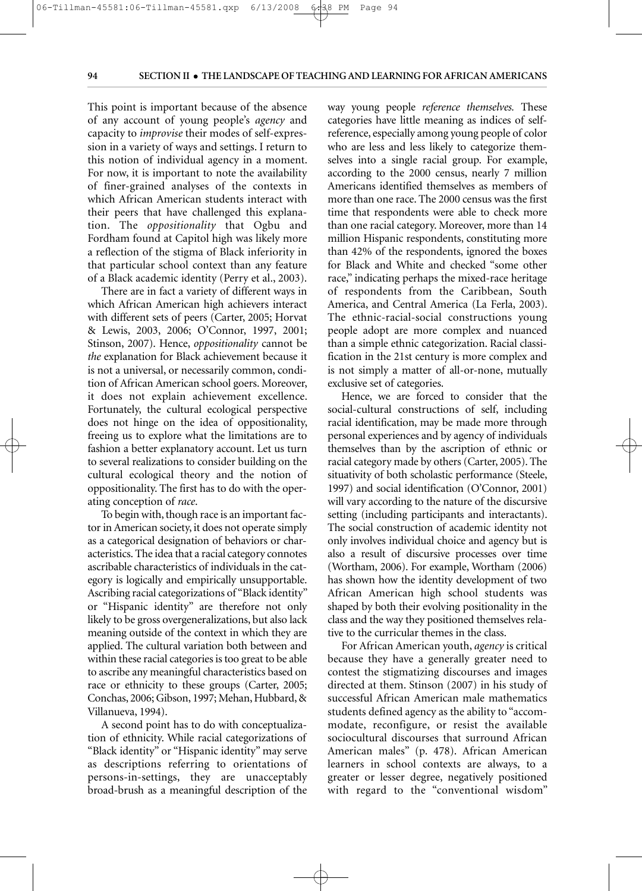PM

This point is important because of the absence of any account of young people's *agency* and capacity to *improvise* their modes of self-expression in a variety of ways and settings. I return to this notion of individual agency in a moment. For now, it is important to note the availability of finer-grained analyses of the contexts in which African American students interact with their peers that have challenged this explanation. The *oppositionality* that Ogbu and Fordham found at Capitol high was likely more a reflection of the stigma of Black inferiority in that particular school context than any feature of a Black academic identity (Perry et al., 2003).

 $\begin{CD} \begin{CD} \begin{CD} \begin{CD} \end{CD} \end{CD} \end{CD} \end{CD} \end{CD}$ 

There are in fact a variety of different ways in which African American high achievers interact with different sets of peers (Carter, 2005; Horvat & Lewis, 2003, 2006; O'Connor, 1997, 2001; Stinson, 2007). Hence, *oppositionality* cannot be *the* explanation for Black achievement because it is not a universal, or necessarily common, condition of African American school goers. Moreover, it does not explain achievement excellence. Fortunately, the cultural ecological perspective does not hinge on the idea of oppositionality, freeing us to explore what the limitations are to fashion a better explanatory account. Let us turn to several realizations to consider building on the cultural ecological theory and the notion of oppositionality. The first has to do with the operating conception of *race*.

To begin with, though race is an important factor in American society, it does not operate simply as a categorical designation of behaviors or characteristics. The idea that a racial category connotes ascribable characteristics of individuals in the category is logically and empirically unsupportable. Ascribing racial categorizations of "Black identity" or "Hispanic identity" are therefore not only likely to be gross overgeneralizations, but also lack meaning outside of the context in which they are applied. The cultural variation both between and within these racial categories is too great to be able to ascribe any meaningful characteristics based on race or ethnicity to these groups (Carter, 2005; Conchas, 2006; Gibson, 1997; Mehan, Hubbard, & Villanueva, 1994).

A second point has to do with conceptualization of ethnicity. While racial categorizations of "Black identity" or "Hispanic identity" may serve as descriptions referring to orientations of persons-in-settings, they are unacceptably broad-brush as a meaningful description of the way young people *reference themselves.* These categories have little meaning as indices of selfreference, especially among young people of color who are less and less likely to categorize themselves into a single racial group. For example, according to the 2000 census, nearly 7 million Americans identified themselves as members of more than one race. The 2000 census was the first time that respondents were able to check more than one racial category. Moreover, more than 14 million Hispanic respondents, constituting more than 42% of the respondents, ignored the boxes for Black and White and checked "some other race," indicating perhaps the mixed-race heritage of respondents from the Caribbean, South America, and Central America (La Ferla, 2003). The ethnic-racial-social constructions young people adopt are more complex and nuanced than a simple ethnic categorization. Racial classification in the 21st century is more complex and is not simply a matter of all-or-none, mutually exclusive set of categories.

Hence, we are forced to consider that the social-cultural constructions of self, including racial identification, may be made more through personal experiences and by agency of individuals themselves than by the ascription of ethnic or racial category made by others (Carter, 2005). The situativity of both scholastic performance (Steele, 1997) and social identification (O'Connor, 2001) will vary according to the nature of the discursive setting (including participants and interactants). The social construction of academic identity not only involves individual choice and agency but is also a result of discursive processes over time (Wortham, 2006). For example, Wortham (2006) has shown how the identity development of two African American high school students was shaped by both their evolving positionality in the class and the way they positioned themselves relative to the curricular themes in the class.

For African American youth, *agency* is critical because they have a generally greater need to contest the stigmatizing discourses and images directed at them. Stinson (2007) in his study of successful African American male mathematics students defined agency as the ability to "accommodate, reconfigure, or resist the available sociocultural discourses that surround African American males" (p. 478). African American learners in school contexts are always, to a greater or lesser degree, negatively positioned with regard to the "conventional wisdom"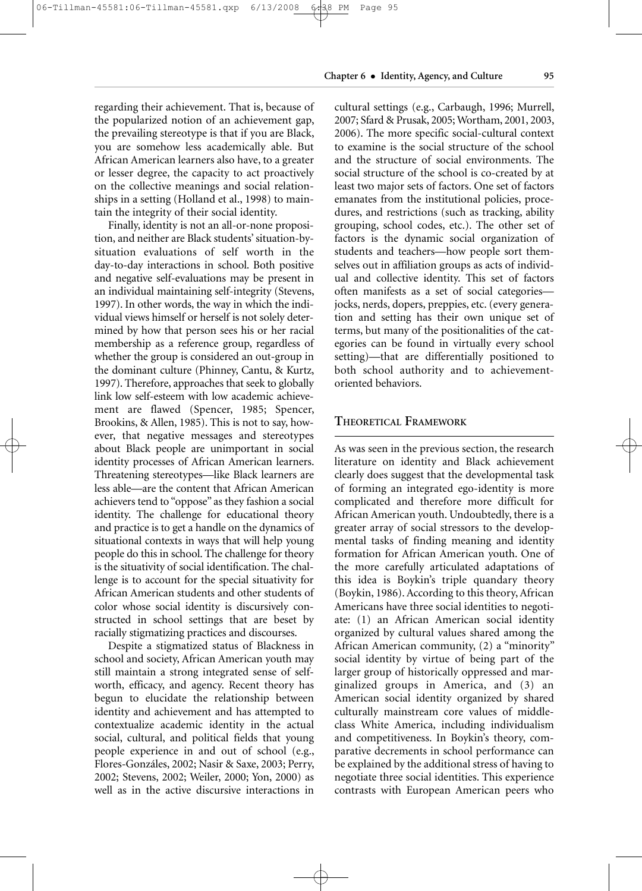**Chapter 6** • **Identity, Agency, and Culture 95**

regarding their achievement. That is, because of the popularized notion of an achievement gap, the prevailing stereotype is that if you are Black, you are somehow less academically able. But African American learners also have, to a greater or lesser degree, the capacity to act proactively on the collective meanings and social relationships in a setting (Holland et al., 1998) to maintain the integrity of their social identity.

Finally, identity is not an all-or-none proposition, and neither are Black students' situation-bysituation evaluations of self worth in the day-to-day interactions in school. Both positive and negative self-evaluations may be present in an individual maintaining self-integrity (Stevens, 1997). In other words, the way in which the individual views himself or herself is not solely determined by how that person sees his or her racial membership as a reference group, regardless of whether the group is considered an out-group in the dominant culture (Phinney, Cantu, & Kurtz, 1997). Therefore, approaches that seek to globally link low self-esteem with low academic achievement are flawed (Spencer, 1985; Spencer, Brookins, & Allen, 1985). This is not to say, however, that negative messages and stereotypes about Black people are unimportant in social identity processes of African American learners. Threatening stereotypes—like Black learners are less able—are the content that African American achievers tend to "oppose" as they fashion a social identity. The challenge for educational theory and practice is to get a handle on the dynamics of situational contexts in ways that will help young people do this in school. The challenge for theory is the situativity of social identification. The challenge is to account for the special situativity for African American students and other students of color whose social identity is discursively constructed in school settings that are beset by racially stigmatizing practices and discourses.

Despite a stigmatized status of Blackness in school and society, African American youth may still maintain a strong integrated sense of selfworth, efficacy, and agency. Recent theory has begun to elucidate the relationship between identity and achievement and has attempted to contextualize academic identity in the actual social, cultural, and political fields that young people experience in and out of school (e.g., Flores-Gonzáles, 2002; Nasir & Saxe, 2003; Perry, 2002; Stevens, 2002; Weiler, 2000; Yon, 2000) as well as in the active discursive interactions in

cultural settings (e.g., Carbaugh, 1996; Murrell, 2007; Sfard & Prusak, 2005; Wortham, 2001, 2003, 2006). The more specific social-cultural context to examine is the social structure of the school and the structure of social environments. The social structure of the school is co-created by at least two major sets of factors. One set of factors emanates from the institutional policies, procedures, and restrictions (such as tracking, ability grouping, school codes, etc.). The other set of factors is the dynamic social organization of students and teachers—how people sort themselves out in affiliation groups as acts of individual and collective identity. This set of factors often manifests as a set of social categories jocks, nerds, dopers, preppies, etc. (every generation and setting has their own unique set of terms, but many of the positionalities of the categories can be found in virtually every school setting)—that are differentially positioned to both school authority and to achievementoriented behaviors.

# **THEORETICAL FRAMEWORK**

As was seen in the previous section, the research literature on identity and Black achievement clearly does suggest that the developmental task of forming an integrated ego-identity is more complicated and therefore more difficult for African American youth. Undoubtedly, there is a greater array of social stressors to the developmental tasks of finding meaning and identity formation for African American youth. One of the more carefully articulated adaptations of this idea is Boykin's triple quandary theory (Boykin, 1986). According to this theory, African Americans have three social identities to negotiate: (1) an African American social identity organized by cultural values shared among the African American community, (2) a "minority" social identity by virtue of being part of the larger group of historically oppressed and marginalized groups in America, and (3) an American social identity organized by shared culturally mainstream core values of middleclass White America, including individualism and competitiveness. In Boykin's theory, comparative decrements in school performance can be explained by the additional stress of having to negotiate three social identities. This experience contrasts with European American peers who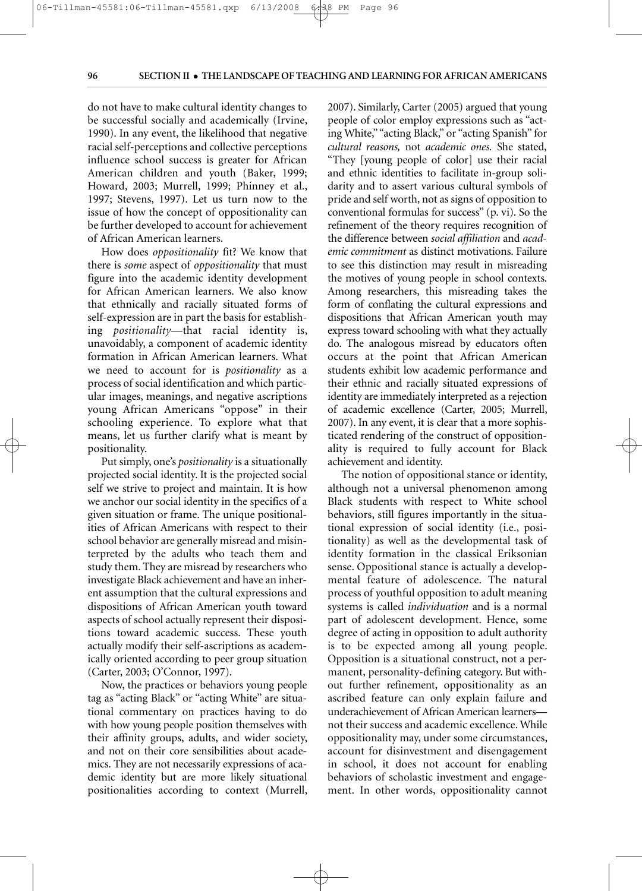**PM** 

do not have to make cultural identity changes to be successful socially and academically (Irvine, 1990). In any event, the likelihood that negative racial self-perceptions and collective perceptions influence school success is greater for African American children and youth (Baker, 1999; Howard, 2003; Murrell, 1999; Phinney et al., 1997; Stevens, 1997). Let us turn now to the issue of how the concept of oppositionality can be further developed to account for achievement of African American learners.

06-Tillman-45581:06-Tillman-45581.qxp 6/13/2008 6:38 PM Page

How does *oppositionality* fit? We know that there is *some* aspect of *oppositionality* that must figure into the academic identity development for African American learners. We also know that ethnically and racially situated forms of self-expression are in part the basis for establishing *positionality*—that racial identity is, unavoidably, a component of academic identity formation in African American learners. What we need to account for is *positionality* as a process of social identification and which particular images, meanings, and negative ascriptions young African Americans "oppose" in their schooling experience. To explore what that means, let us further clarify what is meant by positionality.

Put simply, one's *positionality* is a situationally projected social identity. It is the projected social self we strive to project and maintain. It is how we anchor our social identity in the specifics of a given situation or frame. The unique positionalities of African Americans with respect to their school behavior are generally misread and misinterpreted by the adults who teach them and study them. They are misread by researchers who investigate Black achievement and have an inherent assumption that the cultural expressions and dispositions of African American youth toward aspects of school actually represent their dispositions toward academic success. These youth actually modify their self-ascriptions as academically oriented according to peer group situation (Carter, 2003; O'Connor, 1997).

Now, the practices or behaviors young people tag as "acting Black" or "acting White" are situational commentary on practices having to do with how young people position themselves with their affinity groups, adults, and wider society, and not on their core sensibilities about academics. They are not necessarily expressions of academic identity but are more likely situational positionalities according to context (Murrell, 2007). Similarly, Carter (2005) argued that young people of color employ expressions such as "acting White," "acting Black," or "acting Spanish" for *cultural reasons,* not *academic ones.* She stated, "They [young people of color] use their racial and ethnic identities to facilitate in-group solidarity and to assert various cultural symbols of pride and self worth, not as signs of opposition to conventional formulas for success" (p. vi). So the refinement of the theory requires recognition of the difference between *social affiliation* and *academic commitment* as distinct motivations. Failure to see this distinction may result in misreading the motives of young people in school contexts. Among researchers, this misreading takes the form of conflating the cultural expressions and dispositions that African American youth may express toward schooling with what they actually do. The analogous misread by educators often occurs at the point that African American students exhibit low academic performance and their ethnic and racially situated expressions of identity are immediately interpreted as a rejection of academic excellence (Carter, 2005; Murrell, 2007). In any event, it is clear that a more sophisticated rendering of the construct of oppositionality is required to fully account for Black achievement and identity.

The notion of oppositional stance or identity, although not a universal phenomenon among Black students with respect to White school behaviors, still figures importantly in the situational expression of social identity (i.e., positionality) as well as the developmental task of identity formation in the classical Eriksonian sense. Oppositional stance is actually a developmental feature of adolescence. The natural process of youthful opposition to adult meaning systems is called *individuation* and is a normal part of adolescent development. Hence, some degree of acting in opposition to adult authority is to be expected among all young people. Opposition is a situational construct, not a permanent, personality-defining category. But without further refinement, oppositionality as an ascribed feature can only explain failure and underachievement of African American learners not their success and academic excellence. While oppositionality may, under some circumstances, account for disinvestment and disengagement in school, it does not account for enabling behaviors of scholastic investment and engagement. In other words, oppositionality cannot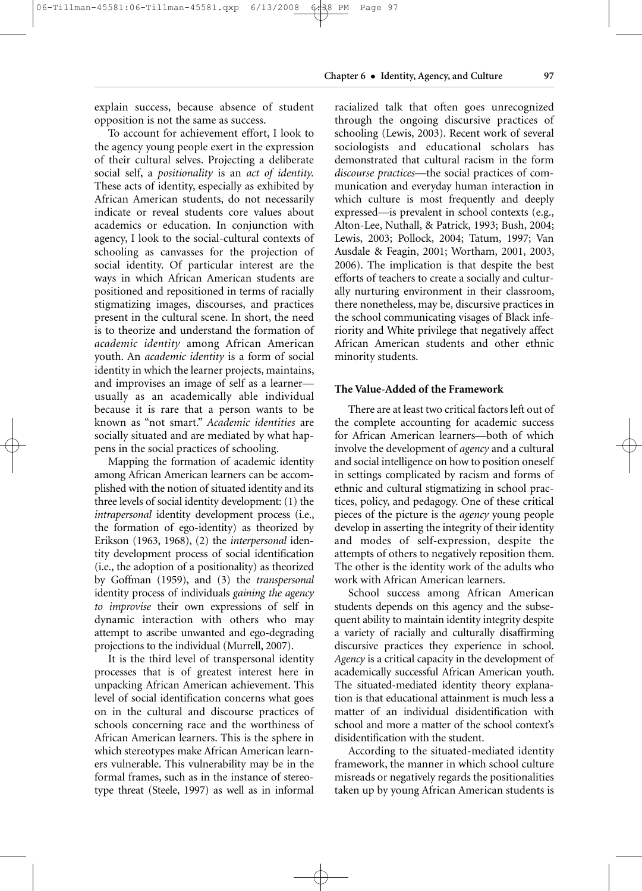explain success, because absence of student opposition is not the same as success.

To account for achievement effort, I look to the agency young people exert in the expression of their cultural selves. Projecting a deliberate social self, a *positionality* is an *act of identity.* These acts of identity, especially as exhibited by African American students, do not necessarily indicate or reveal students core values about academics or education. In conjunction with agency, I look to the social-cultural contexts of schooling as canvasses for the projection of social identity. Of particular interest are the ways in which African American students are positioned and repositioned in terms of racially stigmatizing images, discourses, and practices present in the cultural scene. In short, the need is to theorize and understand the formation of *academic identity* among African American youth. An *academic identity* is a form of social identity in which the learner projects, maintains, and improvises an image of self as a learner usually as an academically able individual because it is rare that a person wants to be known as "not smart." *Academic identities* are socially situated and are mediated by what happens in the social practices of schooling.

Mapping the formation of academic identity among African American learners can be accomplished with the notion of situated identity and its three levels of social identity development: (1) the *intrapersonal* identity development process (i.e., the formation of ego-identity) as theorized by Erikson (1963, 1968), (2) the *interpersonal* identity development process of social identification (i.e., the adoption of a positionality) as theorized by Goffman (1959), and (3) the *transpersonal* identity process of individuals *gaining the agency to improvise* their own expressions of self in dynamic interaction with others who may attempt to ascribe unwanted and ego-degrading projections to the individual (Murrell, 2007).

It is the third level of transpersonal identity processes that is of greatest interest here in unpacking African American achievement. This level of social identification concerns what goes on in the cultural and discourse practices of schools concerning race and the worthiness of African American learners. This is the sphere in which stereotypes make African American learners vulnerable. This vulnerability may be in the formal frames, such as in the instance of stereotype threat (Steele, 1997) as well as in informal racialized talk that often goes unrecognized through the ongoing discursive practices of schooling (Lewis, 2003). Recent work of several sociologists and educational scholars has demonstrated that cultural racism in the form *discourse practices*—the social practices of communication and everyday human interaction in which culture is most frequently and deeply expressed—is prevalent in school contexts (e.g., Alton-Lee, Nuthall, & Patrick, 1993; Bush, 2004; Lewis, 2003; Pollock, 2004; Tatum, 1997; Van Ausdale & Feagin, 2001; Wortham, 2001, 2003, 2006). The implication is that despite the best efforts of teachers to create a socially and culturally nurturing environment in their classroom, there nonetheless, may be, discursive practices in the school communicating visages of Black inferiority and White privilege that negatively affect African American students and other ethnic minority students.

# **The Value-Added of the Framework**

There are at least two critical factors left out of the complete accounting for academic success for African American learners—both of which involve the development of *agency* and a cultural and social intelligence on how to position oneself in settings complicated by racism and forms of ethnic and cultural stigmatizing in school practices, policy, and pedagogy. One of these critical pieces of the picture is the *agency* young people develop in asserting the integrity of their identity and modes of self-expression, despite the attempts of others to negatively reposition them. The other is the identity work of the adults who work with African American learners.

School success among African American students depends on this agency and the subsequent ability to maintain identity integrity despite a variety of racially and culturally disaffirming discursive practices they experience in school. *Agency* is a critical capacity in the development of academically successful African American youth. The situated-mediated identity theory explanation is that educational attainment is much less a matter of an individual disidentification with school and more a matter of the school context's disidentification with the student.

According to the situated-mediated identity frame work, the manner in which school culture misreads or negatively regards the positionalities taken up by young African American students is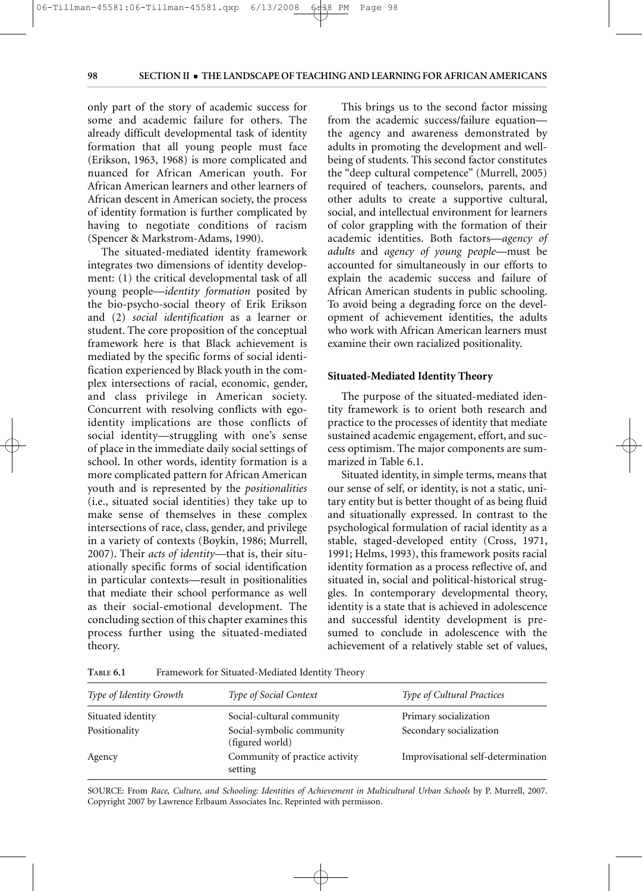**PM** 

98

only part of the story of academic success for some and academic failure for others. The already difficult developmental task of identity formation that all young people must face (Erikson, 1963, 1968) is more complicated and nuanced for African American youth. For African American learners and other learners of African descent in American society, the process of identity formation is further complicated by having to negotiate conditions of racism (Spencer & Markstrom-Adams, 1990).

06-Tillman-45581:06-Tillman-45581.qxp 6/13/2008 6:38 PM Page

The situated-mediated identity framework integrates two dimensions of identity development: (1) the critical developmental task of all young people—*identity formation* posited by the bio-psycho-social theory of Erik Erikson and (2) *social identification* as a learner or student. The core proposition of the conceptual framework here is that Black achievement is mediated by the specific forms of social identification experienced by Black youth in the complex intersections of racial, economic, gender, and class privilege in American society. Concurrent with resolving conflicts with egoidentity implications are those conflicts of social identity—struggling with one's sense of place in the immediate daily social settings of school. In other words, identity formation is a more complicated pattern for African American youth and is represented by the *positionalities* (i.e., situated social identities) they take up to make sense of themselves in these complex intersections of race, class, gender, and privilege in a variety of contexts (Boykin, 1986; Murrell, 2007). Their *acts of identity—*that is, their situationally specific forms of social identification in particular contexts—result in positionalities that mediate their school performance as well as their social-emotional development. The concluding section of this chapter examines this process further using the situated-mediated theory.

This brings us to the second factor missing from the academic success/failure equation the agency and awareness demonstrated by adults in promoting the development and wellbeing of students. This second factor constitutes the "deep cultural competence" (Murrell, 2005) required of teachers, counselors, parents, and other adults to create a supportive cultural, social, and intellectual environment for learners of color grappling with the formation of their academic identities. Both factors—*agency of adults* and *agency of young people*—must be accounted for simultaneously in our efforts to explain the academic success and failure of African American students in public schooling. To avoid being a degrading force on the development of achievement identities, the adults who work with African American learners must examine their own racialized positionality.

# **Situated-Mediated Identity Theory**

The purpose of the situated-mediated identity framework is to orient both research and practice to the processes of identity that mediate sustained academic engagement, effort, and success optimism. The major components are summarized in Table 6.1.

Situated identity, in simple terms, means that our sense of self, or identity, is not a static, unitary entity but is better thought of as being fluid and situationally expressed. In contrast to the psychological formulation of racial identity as a stable, staged-developed entity (Cross, 1971, 1991; Helms, 1993), this framework posits racial identity formation as a process reflective of, and situated in, social and political-historical struggles. In contemporary developmental theory, identity is a state that is achieved in adolescence and successful identity development is presumed to conclude in adolescence with the achievement of a relatively stable set of values,

**TABLE 6.1** Framework for Situated-Mediated Identity Theory

| <b>Type of Identity Growth</b> | <b>Type of Social Context</b>                | <b>Type of Cultural Practices</b>  |
|--------------------------------|----------------------------------------------|------------------------------------|
| Situated identity              | Social-cultural community                    | Primary socialization              |
| Positionality                  | Social-symbolic community<br>(figured world) | Secondary socialization            |
| Agency                         | Community of practice activity<br>setting    | Improvisational self-determination |

SOURCE: From *Race, Culture, and Schooling: Identities of Achievement in Multicultural Urban Schools* by P. Murrell, 2007. Copyright 2007 by Lawrence Erlbaum Associates Inc. Reprinted with permisson.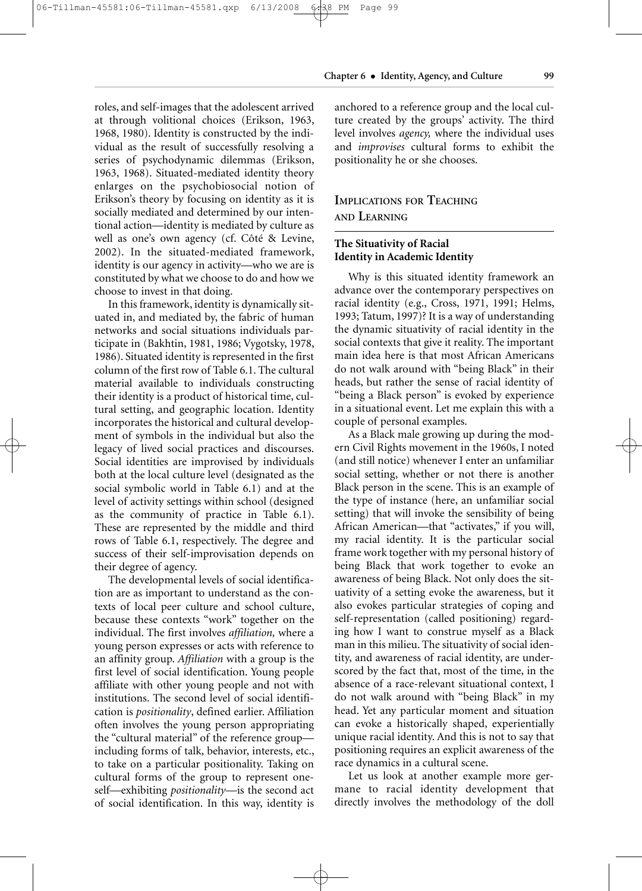#### 06-Tillman-45581:06-Tillman-45581.qxp 6/13/2008 6:38 PM Page PM 99

**Chapter 6** • **Identity, Agency, and Culture 99**

roles, and self-images that the adolescent arrived at through volitional choices (Erikson, 1963, 1968, 1980). Identity is constructed by the individual as the result of successfully resolving a series of psychodynamic dilemmas (Erikson, 1963, 1968). Situated-mediated identity theory enlarges on the psychobiosocial notion of Erikson's theory by focusing on identity as it is socially mediated and determined by our intentional action—identity is mediated by culture as well as one's own agency (cf. Côté & Levine, 2002). In the situated-mediated framework, identity is our agency in activity—who we are is constituted by what we choose to do and how we choose to invest in that doing.

In this framework, identity is dynamically situated in, and mediated by, the fabric of human networks and social situations individuals participate in (Bakhtin, 1981, 1986; Vygotsky, 1978, 1986). Situated identity is represented in the first column of the first row of Table 6.1. The cultural material available to individuals constructing their identity is a product of historical time, cultural setting, and geographic location. Identity incorporates the historical and cultural development of symbols in the individual but also the legacy of lived social practices and discourses. Social identities are improvised by individuals both at the local culture level (designated as the social symbolic world in Table 6.1) and at the level of activity settings within school (designed as the community of practice in Table 6.1). These are represented by the middle and third rows of Table 6.1, respectively. The degree and success of their self-improvisation depends on their degree of agency.

The developmental levels of social identification are as important to understand as the contexts of local peer culture and school culture, because these contexts "work" together on the individual. The first involves *affiliation,* where a young person expresses or acts with reference to an affinity group. *Affiliation* with a group is the first level of social identification. Young people affiliate with other young people and not with institutions. The second level of social identification is *positionality*, defined earlier. Affiliation often involves the young person appropriating the "cultural material" of the reference group including forms of talk, behavior, interests, etc., to take on a particular positionality. Taking on cultural forms of the group to represent oneself—exhibiting *positionality*—is the second act of social identification. In this way, identity is anchored to a reference group and the local culture created by the groups' activity. The third level involves *agency,* where the individual uses and *improvises* cultural forms to exhibit the positionality he or she chooses.

# **IMPLICATIONS FOR TEACHING AND LEARNING**

# **The Situativity of Racial Identity in Academic Identity**

Why is this situated identity framework an advance over the contemporary perspectives on racial identity (e.g., Cross, 1971, 1991; Helms, 1993; Tatum, 1997)? It is a way of understanding the dynamic situativity of racial identity in the social contexts that give it reality. The important main idea here is that most African Americans do not walk around with "being Black" in their heads, but rather the sense of racial identity of "being a Black person" is evoked by experience in a situational event. Let me explain this with a couple of personal examples.

As a Black male growing up during the modern Civil Rights movement in the 1960s, I noted (and still notice) whenever I enter an unfamiliar social setting, whether or not there is another Black person in the scene. This is an example of the type of instance (here, an unfamiliar social setting) that will invoke the sensibility of being African American—that "activates," if you will, my racial identity. It is the particular social frame work together with my personal history of being Black that work together to evoke an awareness of being Black. Not only does the situativity of a setting evoke the awareness, but it also evokes particular strategies of coping and self-representation (called positioning) regarding how I want to construe myself as a Black man in this milieu. The situativity of social identity, and awareness of racial identity, are underscored by the fact that, most of the time, in the absence of a race-relevant situational context, I do not walk around with "being Black" in my head. Yet any particular moment and situation can evoke a historically shaped, experientially unique racial identity. And this is not to say that positioning requires an explicit awareness of the race dynamics in a cultural scene.

Let us look at another example more germane to racial identity development that directly involves the methodology of the doll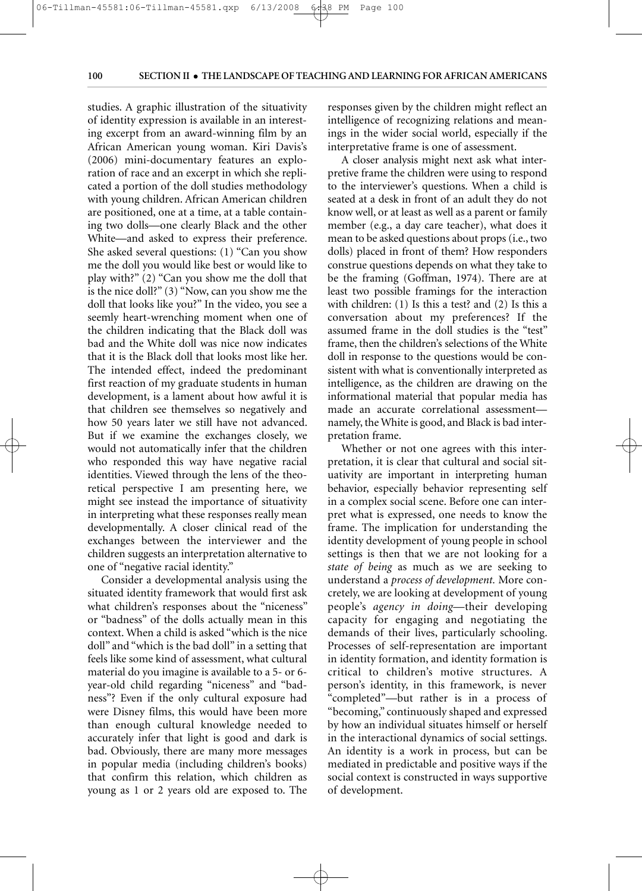PM

studies. A graphic illustration of the situativity of identity expression is available in an interesting excerpt from an award-winning film by an African American young woman. Kiri Davis's (2006) mini-documentary features an exploration of race and an excerpt in which she replicated a portion of the doll studies methodology with young children. African American children are positioned, one at a time, at a table containing two dolls—one clearly Black and the other White—and asked to express their preference. She asked several questions: (1) "Can you show me the doll you would like best or would like to play with?" (2) "Can you show me the doll that is the nice doll?" (3) "Now, can you show me the doll that looks like you?" In the video, you see a seemly heart-wrenching moment when one of the children indicating that the Black doll was bad and the White doll was nice now indicates that it is the Black doll that looks most like her. The intended effect, indeed the predominant first reaction of my graduate students in human development, is a lament about how awful it is that children see themselves so negatively and how 50 years later we still have not advanced. But if we examine the exchanges closely, we would not automatically infer that the children who responded this way have negative racial identities. Viewed through the lens of the theoretical perspective I am presenting here, we might see instead the importance of situativity in interpreting what these responses really mean developmentally. A closer clinical read of the exchanges between the interviewer and the children suggests an interpretation alternative to one of "negative racial identity."

06-Tillman-45581:06-Tillman-45581.qxp 6/13/2008 6-38 PM Page 100

Consider a developmental analysis using the situated identity framework that would first ask what children's responses about the "niceness" or "badness" of the dolls actually mean in this context. When a child is asked "which is the nice doll" and "which is the bad doll" in a setting that feels like some kind of assessment, what cultural material do you imagine is available to a 5- or 6 year-old child regarding "niceness" and "badness"? Even if the only cultural exposure had were Disney films, this would have been more than enough cultural knowledge needed to accurately infer that light is good and dark is bad. Obviously, there are many more messages in popular media (including children's books) that confirm this relation, which children as young as 1 or 2 years old are exposed to. The responses given by the children might reflect an intelligence of recognizing relations and meanings in the wider social world, especially if the interpretative frame is one of assessment.

A closer analysis might next ask what interpretive frame the children were using to respond to the interviewer's questions. When a child is seated at a desk in front of an adult they do not know well, or at least as well as a parent or family member (e.g., a day care teacher), what does it mean to be asked questions about props (i.e., two dolls) placed in front of them? How responders construe questions depends on what they take to be the framing (Goffman, 1974). There are at least two possible framings for the interaction with children: (1) Is this a test? and (2) Is this a conversation about my preferences? If the assumed frame in the doll studies is the "test" frame, then the children's selections of the White doll in response to the questions would be consistent with what is conventionally interpreted as intelligence, as the children are drawing on the informational material that popular media has made an accurate correlational assessment namely, the White is good, and Black is bad interpretation frame.

Whether or not one agrees with this interpretation, it is clear that cultural and social situativity are important in interpreting human behavior, especially behavior representing self in a complex social scene. Before one can interpret what is expressed, one needs to know the frame. The implication for understanding the identity development of young people in school settings is then that we are not looking for a *state of being* as much as we are seeking to understand a *process of development.* More concretely, we are looking at development of young people's *agency in doing*—their developing capacity for engaging and negotiating the demands of their lives, particularly schooling. Processes of self-representation are important in identity formation, and identity formation is critical to children's motive structures. A person's identity, in this framework, is never "completed"—but rather is in a process of "becoming," continuously shaped and expressed by how an individual situates himself or herself in the interactional dynamics of social settings. An identity is a work in process, but can be mediated in predictable and positive ways if the social context is constructed in ways supportive of development.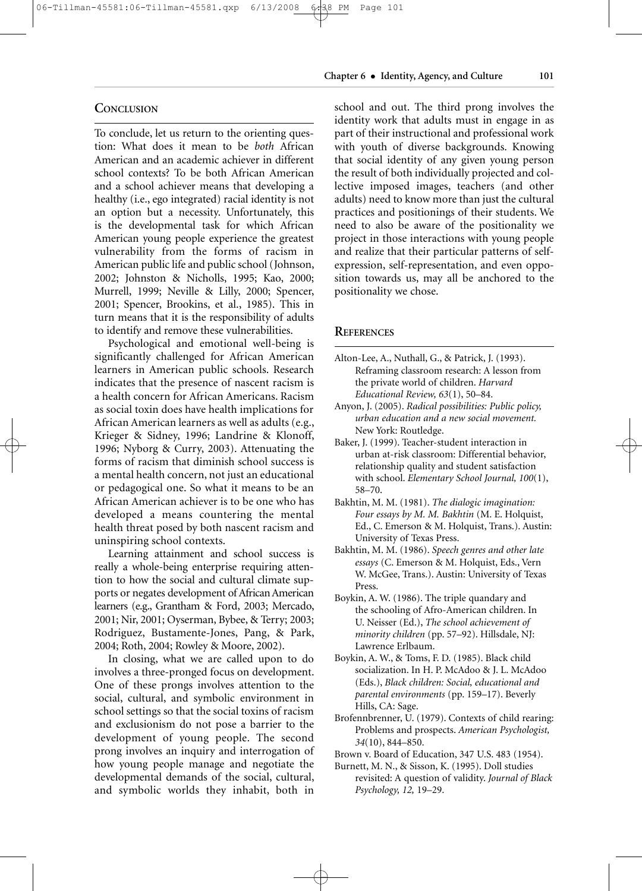# **CONCLUSION**

To conclude, let us return to the orienting question: What does it mean to be *both* African American and an academic achiever in different school contexts? To be both African American and a school achiever means that developing a healthy (i.e., ego integrated) racial identity is not an option but a necessity. Unfortunately, this is the developmental task for which African American young people experience the greatest vulnerability from the forms of racism in American public life and public school (Johnson, 2002; Johnston & Nicholls, 1995; Kao, 2000; Murrell, 1999; Neville & Lilly, 2000; Spencer, 2001; Spencer, Brookins, et al., 1985). This in turn means that it is the responsibility of adults to identify and remove these vulnerabilities.

Psychological and emotional well-being is significantly challenged for African American learners in American public schools. Research indicates that the presence of nascent racism is a health concern for African Americans. Racism as social toxin does have health implications for African American learners as well as adults (e.g., Krieger & Sidney, 1996; Landrine & Klonoff, 1996; Nyborg & Curry, 2003). Attenuating the forms of racism that diminish school success is a mental health concern, not just an educational or pedagogical one. So what it means to be an African American achiever is to be one who has developed a means countering the mental health threat posed by both nascent racism and uninspiring school contexts.

Learning attainment and school success is really a whole-being enterprise requiring attention to how the social and cultural climate supports or negates development of African American learners (e.g., Grantham & Ford, 2003; Mercado, 2001; Nir, 2001; Oyserman, Bybee, & Terry; 2003; Rodriguez, Bustamente-Jones, Pang, & Park, 2004; Roth, 2004; Rowley & Moore, 2002).

In closing, what we are called upon to do involves a three-pronged focus on development. One of these prongs involves attention to the social, cultural, and symbolic environment in school settings so that the social toxins of racism and exclusionism do not pose a barrier to the development of young people. The second prong involves an inquiry and interrogation of how young people manage and negotiate the developmental demands of the social, cultural, and symbolic worlds they inhabit, both in

# **Chapter 6** • **Identity, Agency, and Culture 101**

school and out. The third prong involves the identity work that adults must in engage in as part of their instructional and professional work with youth of diverse backgrounds. Knowing that social identity of any given young person the result of both individually projected and collective imposed images, teachers (and other adults) need to know more than just the cultural practices and positionings of their students. We need to also be aware of the positionality we project in those interactions with young people and realize that their particular patterns of selfexpression, self-representation, and even opposition towards us, may all be anchored to the positionality we chose.

## **REFERENCES**

- Alton-Lee, A., Nuthall, G., & Patrick, J. (1993). Reframing classroom research: A lesson from the private world of children. *Harvard Educational Review, 63*(1), 50–84.
- Anyon, J. (2005). *Radical possibilities: Public policy, urban education and a new social movement.* New York: Routledge.
- Baker, J. (1999). Teacher-student interaction in urban at-risk classroom: Differential behavior, relationship quality and student satisfaction with school. *Elementary School Journal, 100*(1), 58–70.
- Bakhtin, M. M. (1981). *The dialogic imagination: Four essays by M. M. Bakhtin* (M. E. Holquist, Ed., C. Emerson & M. Holquist, Trans.). Austin: University of Texas Press.
- Bakhtin, M. M. (1986). *Speech genres and other late essays* (C. Emerson & M. Holquist, Eds., Vern W. McGee, Trans.). Austin: University of Texas Press.
- Boykin, A. W. (1986). The triple quandary and the schooling of Afro-American children. In U. Neisser (Ed.), *The school achievement of minority children* (pp. 57–92). Hillsdale, NJ: Lawrence Erlbaum.
- Boykin, A. W., & Toms, F. D. (1985). Black child socialization. In H. P. McAdoo & J. L. McAdoo (Eds.), *Black children: Social, educational and parental environments* (pp. 159–17). Beverly Hills, CA: Sage.
- Brofennbrenner, U. (1979). Contexts of child rearing: Problems and prospects. *American Psychologist, 34*(10), 844–850.
- Brown v. Board of Education, 347 U.S. 483 (1954).
- Burnett, M. N., & Sisson, K. (1995). Doll studies revisited: A question of validity. *Journal of Black Psychology, 12,* 19–29.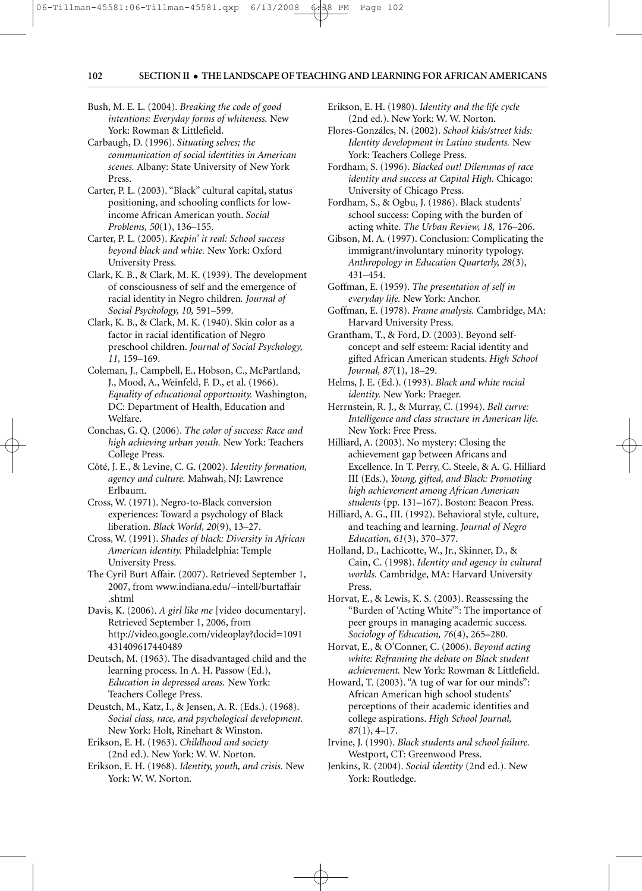PM

Bush, M. E. L. (2004). *Breaking the code of good intentions: Everyday forms of whiteness.* New York: Rowman & Littlefield.

06-Tillman-45581:06-Tillman-45581.qxp 6/13/2008 6:38 PM Page 102

6/13/2008

- Carbaugh, D. (1996). *Situating selves; the communication of social identities in American scenes.* Albany: State University of New York Press.
- Carter, P. L. (2003). "Black" cultural capital, status positioning, and schooling conflicts for lowincome African American youth. *Social Problems, 50*(1), 136–155.
- Carter, P. L. (2005). *Keepin' it real: School success beyond black and white.* New York: Oxford University Press.
- Clark, K. B., & Clark, M. K. (1939). The development of consciousness of self and the emergence of racial identity in Negro children*. Journal of Social Psychology, 10,* 591–599.
- Clark, K. B., & Clark, M. K. (1940). Skin color as a factor in racial identification of Negro preschool children. *Journal of Social Psychology, 11,* 159–169.
- Coleman, J., Campbell, E., Hobson, C., McPartland, J., Mood, A., Weinfeld, F. D., et al. (1966). *Equality of educational opportunity.* Washington, DC: Department of Health, Education and Welfare.
- Conchas, G. Q. (2006). *The color of success: Race and high achieving urban youth.* New York: Teachers College Press.
- Côté, J. E., & Levine, C. G. (2002). *Identity formation, agency and culture.* Mahwah, NJ: Lawrence Erlbaum.
- Cross, W. (1971). Negro-to-Black conversion experiences: Toward a psychology of Black liberation. *Black World, 20*(9), 13–27.
- Cross, W. (1991). *Shades of black: Diversity in African American identity.* Philadelphia: Temple University Press.
- The Cyril Burt Affair. (2007). Retrieved September 1, 2007, from www.indiana.edu/~intell/burtaffair .shtml
- Davis, K. (2006). *A girl like me* [video documentary]. Retrieved September 1, 2006, from http://video.google.com/videoplay?docid=1091 431409617440489
- Deutsch, M. (1963). The disadvantaged child and the learning process. In A. H. Passow (Ed.), *Education in depressed areas.* New York: Teachers College Press.
- Deustch, M., Katz, I., & Jensen, A. R. (Eds.). (1968). *Social class, race, and psychological development.* New York: Holt, Rinehart & Winston.
- Erikson, E. H. (1963). *Childhood and society* (2nd ed.). New York: W. W. Norton.
- Erikson, E. H. (1968). *Identity, youth, and crisis.* New York: W. W. Norton.
- Erikson, E. H. (1980). *Identity and the life cycle* (2nd ed.). New York: W. W. Norton.
- Flores-Gonzáles, N. (2002). *School kids/street kids: Identity development in Latino students.* New York: Teachers College Press.
- Fordham, S. (1996). *Blacked out! Dilemmas of race identity and success at Capital High.* Chicago: University of Chicago Press.
- Fordham, S., & Ogbu, J. (1986). Black students' school success: Coping with the burden of acting white. *The Urban Review, 18,* 176–206.
- Gibson, M. A. (1997). Conclusion: Complicating the immigrant/involuntary minority typology. *Anthropology in Education Quarterly, 28*(3), 431–454.
- Goffman, E. (1959). *The presentation of self in everyday life.* New York: Anchor.
- Goffman, E. (1978). *Frame analysis.* Cambridge, MA: Harvard University Press.
- Grantham, T., & Ford, D. (2003). Beyond selfconcept and self esteem: Racial identity and gifted African American students. *High School Journal, 87*(1), 18–29.
- Helms, J. E. (Ed.). (1993). *Black and white racial identity.* New York: Praeger.
- Herrnstein, R. J., & Murray, C. (1994). *Bell curve: Intelligence and class structure in American life.* New York: Free Press.
- Hilliard, A. (2003). No mystery: Closing the achievement gap between Africans and Excellence. In T. Perry, C. Steele, & A. G. Hilliard III (Eds.), *Young, gifted, and Black: Promoting high achievement among African American students* (pp. 131–167). Boston: Beacon Press.
- Hilliard, A. G., III. (1992). Behavioral style, culture, and teaching and learning. *Journal of Negro Education, 61*(3), 370–377.
- Holland, D., Lachicotte, W., Jr., Skinner, D., & Cain, C. (1998). *Identity and agency in cultural worlds.* Cambridge, MA: Harvard University Press.
- Horvat, E., & Lewis, K. S. (2003). Reassessing the "Burden of 'Acting White'": The importance of peer groups in managing academic success. *Sociology of Education, 76*(4), 265–280.
- Horvat, E., & O'Conner, C. (2006). *Beyond acting white: Reframing the debate on Black student achievement.* New York: Rowman & Littlefield.
- Howard, T. (2003). "A tug of war for our minds": African American high school students' perceptions of their academic identities and college aspirations. *High School Journal, 87*(1), 4–17.
- Irvine, J. (1990). *Black students and school failure.* Westport, CT: Greenwood Press.
- Jenkins, R. (2004). *Social identity* (2nd ed.). New York: Routledge.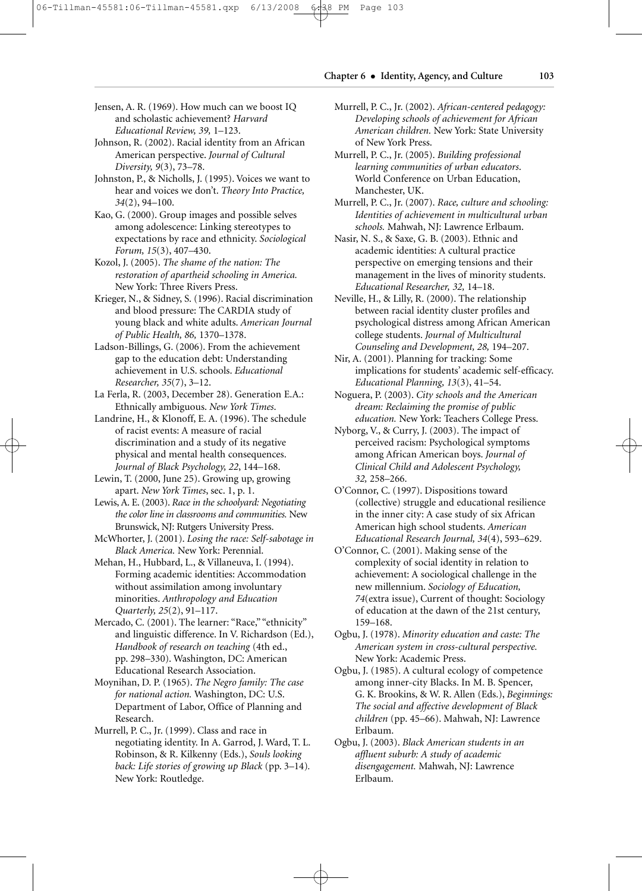# **Chapter 6** • **Identity, Agency, and Culture 103**

- Jensen, A. R. (1969). How much can we boost IQ and scholastic achievement? *Harvard Educational Review, 39,* 1–123.
- Johnson, R. (2002). Racial identity from an African American perspective. *Journal of Cultural Diversity, 9*(3), 73–78.

Johnston, P., & Nicholls, J. (1995). Voices we want to hear and voices we don't. *Theory Into Practice, 34*(2), 94–100.

Kao, G. (2000). Group images and possible selves among adolescence: Linking stereotypes to expectations by race and ethnicity. *Sociological Forum, 15*(3), 407–430.

Kozol, J. (2005). *The shame of the nation: The restoration of apartheid schooling in America.* New York: Three Rivers Press.

Krieger, N., & Sidney, S. (1996). Racial discrimination and blood pressure: The CARDIA study of young black and white adults. *American Journal of Public Health, 86,* 1370–1378.

Ladson-Billings, G. (2006). From the achievement gap to the education debt: Understanding achievement in U.S. schools. *Educational Researcher, 35*(7), 3–12.

La Ferla, R. (2003, December 28). Generation E.A.: Ethnically ambiguous. *New York Times*.

Landrine, H., & Klonoff, E. A. (1996). The schedule of racist events: A measure of racial discrimination and a study of its negative physical and mental health consequences. *Journal of Black Psychology, 22*, 144–168.

Lewin, T. (2000, June 25). Growing up, growing apart. *New York Times*, sec. 1, p. 1.

Lewis, A. E. (2003). *Race in the schoolyard: Negotiating the color line in classrooms and communities.* New Brunswick, NJ: Rutgers University Press.

McWhorter, J. (2001). *Losing the race: Self-sabotage in Black America.* New York: Perennial.

Mehan, H., Hubbard, L., & Villaneuva, I. (1994). Forming academic identities: Accommodation without assimilation among involuntary minorities. *Anthropology and Education Quarterly, 25*(2), 91–117.

- Mercado, C. (2001). The learner: "Race," "ethnicity" and linguistic difference. In V. Richardson (Ed.), *Handbook of research on teaching* (4th ed., pp. 298–330). Washington, DC: American Educational Research Association.
- Moynihan, D. P. (1965). *The Negro family: The case for national action.* Washington, DC: U.S. Department of Labor, Office of Planning and Research.
- Murrell, P. C., Jr. (1999). Class and race in negotiating identity. In A. Garrod, J. Ward, T. L. Robinson, & R. Kilkenny (Eds.), *Souls looking back: Life stories of growing up Black* (pp. 3–14)*.* New York: Routledge.
- Murrell, P. C., Jr. (2002). *African-centered pedagogy: Developing schools of achievement for African American children.* New York: State University of New York Press.
- Murrell, P. C., Jr. (2005). *Building professional learning communities of urban educators*. World Conference on Urban Education, Manchester, UK.
- Murrell, P. C., Jr. (2007). *Race, culture and schooling: Identities of achievement in multicultural urban schools.* Mahwah, NJ: Lawrence Erlbaum.

Nasir, N. S., & Saxe, G. B. (2003). Ethnic and academic identities: A cultural practice perspective on emerging tensions and their management in the lives of minority students. *Educational Researcher, 32,* 14–18.

Neville, H., & Lilly, R. (2000). The relationship between racial identity cluster profiles and psychological distress among African American college students. *Journal of Multicultural Counseling and Development, 28,* 194–207.

Nir, A. (2001). Planning for tracking: Some implications for students' academic self-efficacy. *Educational Planning, 13*(3), 41–54.

Noguera, P. (2003). *City schools and the American dream: Reclaiming the promise of public education.* New York: Teachers College Press.

Nyborg, V., & Curry, J. (2003). The impact of perceived racism: Psychological symptoms among African American boys. *Journal of Clinical Child and Adolescent Psychology, 32,* 258–266.

O'Connor, C. (1997). Dispositions toward (collective) struggle and educational resilience in the inner city: A case study of six African American high school students. *American Educational Research Journal, 34*(4), 593–629.

- O'Connor, C. (2001). Making sense of the complexity of social identity in relation to achievement: A sociological challenge in the new millennium. *Sociology of Education, 74*(extra issue), Current of thought: Sociology of education at the dawn of the 21st century, 159–168.
- Ogbu, J. (1978). *Minority education and caste: The American system in cross-cultural perspective.* New York: Academic Press.
- Ogbu, J. (1985). A cultural ecology of competence among inner-city Blacks. In M. B. Spencer, G. K. Brookins, & W. R. Allen (Eds.), *Beginnings: The social and affective development of Black children* (pp. 45–66). Mahwah, NJ: Lawrence Erlbaum.
- Ogbu, J. (2003). *Black American students in an affluent suburb: A study of academic disengagement.* Mahwah, NJ: Lawrence Erlbaum.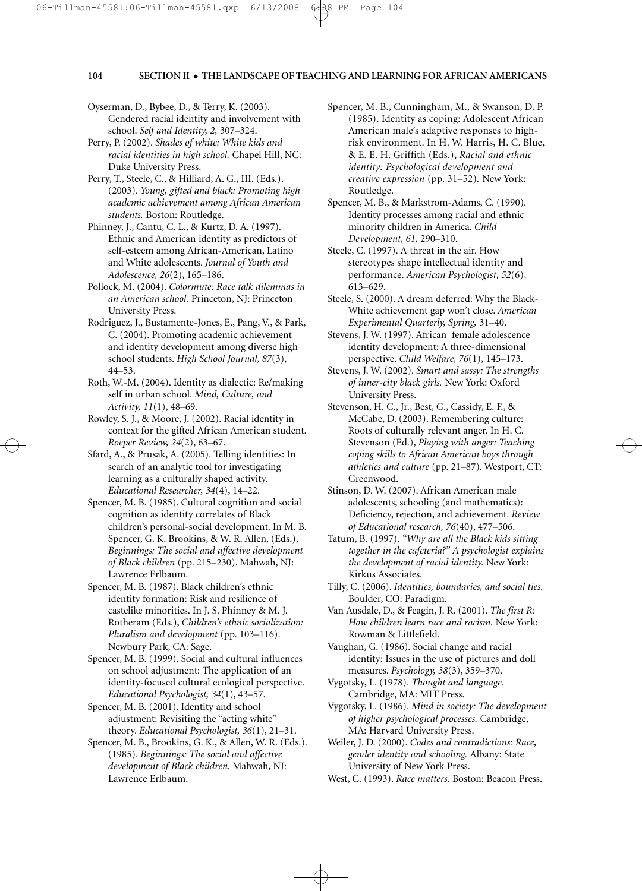PM

Oyserman, D., Bybee, D., & Terry, K. (2003). Gendered racial identity and involvement with school. *Self and Identity, 2,* 307–324.

06-Tillman-45581:06-Tillman-45581.qxp 6/13/2008 6:38 PM Page 104

6/13/2008

- Perry, P. (2002). *Shades of white: White kids and racial identities in high school.* Chapel Hill, NC: Duke University Press.
- Perry, T., Steele, C., & Hilliard, A. G., III. (Eds.). (2003). *Young, gifted and black: Promoting high academic achievement among African American students.* Boston: Routledge.
- Phinney, J., Cantu, C. L., & Kurtz, D. A. (1997). Ethnic and American identity as predictors of self-esteem among African-American, Latino and White adolescents. *Journal of Youth and Adolescence, 26*(2), 165–186.
- Pollock, M. (2004). *Colormute: Race talk dilemmas in an American school.* Princeton, NJ: Princeton University Press.
- Rodriguez, J., Bustamente-Jones, E., Pang, V., & Park, C. (2004). Promoting academic achievement and identity development among diverse high school students. *High School Journal, 87*(3), 44–53.
- Roth, W.-M. (2004). Identity as dialectic: Re/making self in urban school. *Mind, Culture, and Activity, 11*(1), 48–69.
- Rowley, S. J., & Moore, J. (2002). Racial identity in context for the gifted African American student. *Roeper Review, 24*(2), 63–67.
- Sfard, A., & Prusak, A. (2005). Telling identities: In search of an analytic tool for investigating learning as a culturally shaped activity. *Educational Researcher, 34*(4), 14–22.
- Spencer, M. B. (1985). Cultural cognition and social cognition as identity correlates of Black children's personal-social development. In M. B. Spencer, G. K. Brookins, & W. R. Allen, (Eds.), *Beginnings: The social and affective development of Black children* (pp. 215–230). Mahwah, NJ: Lawrence Erlbaum.
- Spencer, M. B. (1987). Black children's ethnic identity formation: Risk and resilience of castelike minorities. In J. S. Phinney & M. J. Rotheram (Eds.), *Children's ethnic socialization: Pluralism and development* (pp. 103–116). Newbury Park, CA: Sage.
- Spencer, M. B. (1999). Social and cultural influences on school adjustment: The application of an identity-focused cultural ecological perspective. *Educational Psychologist, 34*(1), 43–57.
- Spencer, M. B. (2001). Identity and school adjustment: Revisiting the "acting white" theory. *Educational Psychologist, 36*(1), 21–31.
- Spencer, M. B., Brookins, G. K., & Allen, W. R. (Eds.). (1985). *Beginnings: The social and affective development of Black children.* Mahwah, NJ: Lawrence Erlbaum.
- Spencer, M. B., Cunningham, M., & Swanson, D. P. (1985). Identity as coping: Adolescent African American male's adaptive responses to highrisk environment. In H. W. Harris, H. C. Blue, & E. E. H. Griffith (Eds.), *Racial and ethnic identity: Psychological development and creative expression* (pp. 31–52)*.* New York: Routledge.
- Spencer, M. B., & Markstrom-Adams, C. (1990). Identity processes among racial and ethnic minority children in America. *Child Development, 61,* 290–310.
- Steele, C. (1997). A threat in the air. How stereotypes shape intellectual identity and performance. *American Psychologist, 52*(6), 613–629.
- Steele, S. (2000). A dream deferred: Why the Black-White achievement gap won't close. *American Experimental Quarterly, Spring,* 31–40.
- Stevens, J. W. (1997). African female adolescence identity development: A three-dimensional perspective. *Child Welfare, 76*(1), 145–173.
- Stevens, J. W. (2002). *Smart and sassy: The strengths of inner-city black girls.* New York: Oxford University Press.
- Stevenson, H. C., Jr., Best, G., Cassidy, E. F., & McCabe, D. (2003). Remembering culture: Roots of culturally relevant anger. In H. C. Stevenson (Ed.), *Playing with anger: Teaching coping skills to African American boys through athletics and culture* (pp. 21–87). Westport, CT: Greenwood.
- Stinson, D. W. (2007). African American male adolescents, schooling (and mathematics): Deficiency, rejection, and achievement. *Review of Educational research, 76*(40), 477–506.
- Tatum, B. (1997). *"Why are all the Black kids sitting together in the cafeteria?" A psychologist explains the development of racial identity.* New York: Kirkus Associates.
- Tilly, C. (2006). *Identities, boundaries, and social ties.* Boulder, CO: Paradigm.
- Van Ausdale, D., & Feagin, J. R. (2001). *The first R: How children learn race and racism.* New York: Rowman & Littlefield.
- Vaughan, G. (1986). Social change and racial identity: Issues in the use of pictures and doll measures. *Psychology, 38*(3), 359–370.
- Vygotsky, L. (1978). *Thought and language.* Cambridge, MA: MIT Press.
- Vygotsky, L. (1986). *Mind in society: The development of higher psychological processes.* Cambridge, MA: Harvard University Press.
- Weiler, J. D. (2000). *Codes and contradictions: Race, gender identity and schooling.* Albany: State University of New York Press.
- West, C. (1993). *Race matters.* Boston: Beacon Press.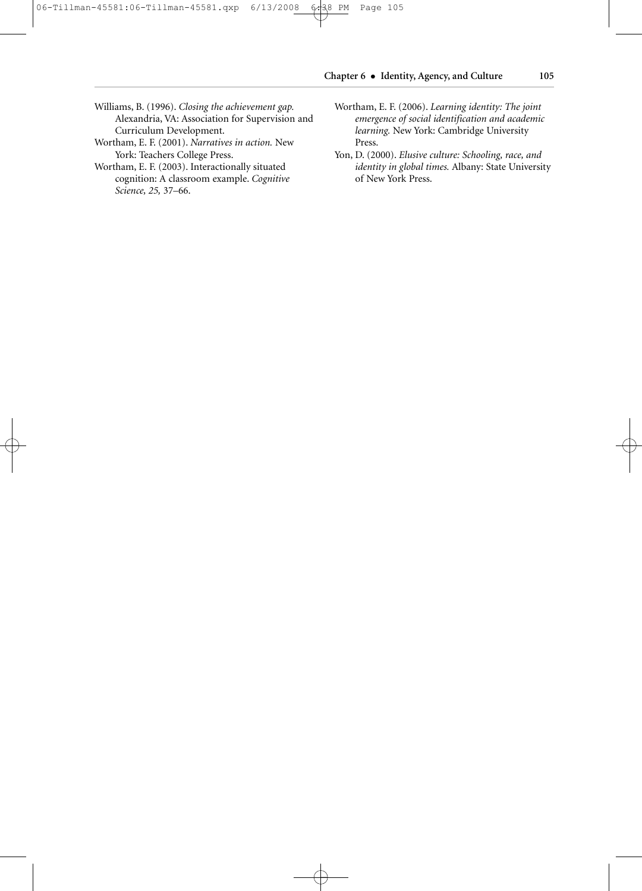# **Chapter 6** • **Identity, Agency, and Culture 105**

- Williams, B. (1996). *Closing the achievement gap.* Alexandria, VA: Association for Supervision and Curriculum Development.
- Wortham, E. F. (2001). *Narratives in action.* New York: Teachers College Press.
- Wortham, E. F. (2003). Interactionally situated cognition: A classroom example. *Cognitive Science, 25,* 37–66.
- Wortham, E. F. (2006). *Learning identity: The joint emergence of social identification and academic learning.* New York: Cambridge University Press.
- Yon, D. (2000). *Elusive culture: Schooling, race, and identity in global times.* Albany: State University of New York Press.